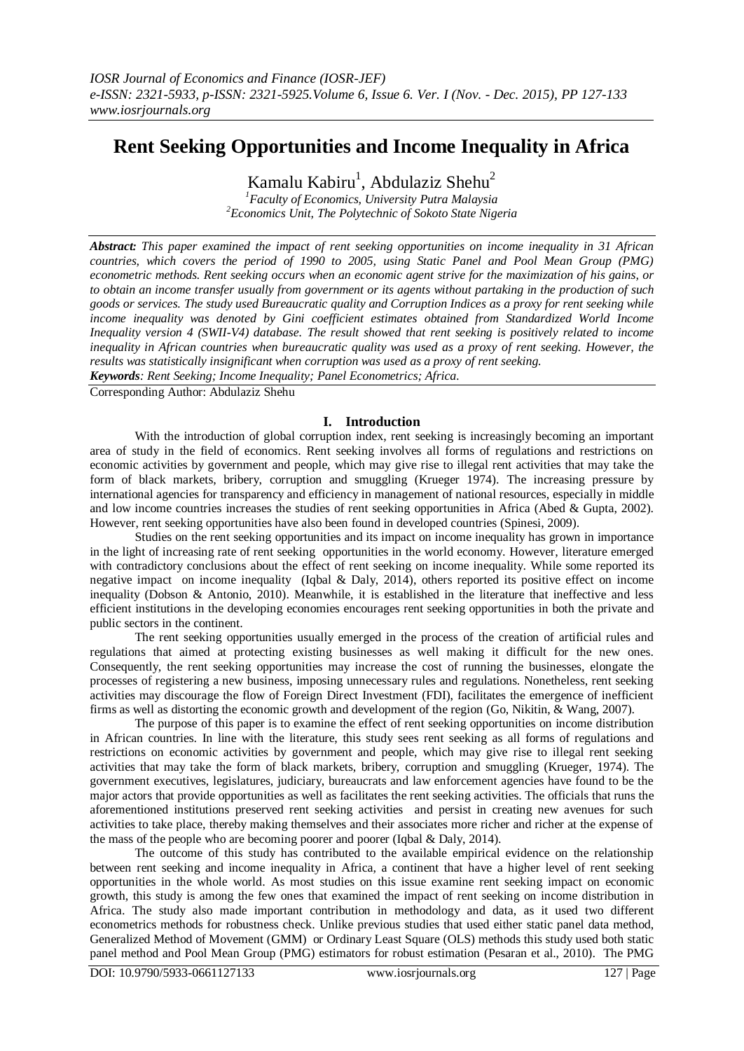# **Rent Seeking Opportunities and Income Inequality in Africa**

Kamalu Kabiru<sup>1</sup>, Abdulaziz Shehu<sup>2</sup>

*<sup>1</sup>Faculty of Economics, University Putra Malaysia <sup>2</sup>Economics Unit, The Polytechnic of Sokoto State Nigeria*

*Abstract: This paper examined the impact of rent seeking opportunities on income inequality in 31 African countries, which covers the period of 1990 to 2005, using Static Panel and Pool Mean Group (PMG) econometric methods. Rent seeking occurs when an economic agent strive for the maximization of his gains, or to obtain an income transfer usually from government or its agents without partaking in the production of such goods or services. The study used Bureaucratic quality and Corruption Indices as a proxy for rent seeking while income inequality was denoted by Gini coefficient estimates obtained from Standardized World Income Inequality version 4 (SWII-V4) database. The result showed that rent seeking is positively related to income inequality in African countries when bureaucratic quality was used as a proxy of rent seeking. However, the results was statistically insignificant when corruption was used as a proxy of rent seeking.* 

*Keywords: Rent Seeking; Income Inequality; Panel Econometrics; Africa.*

Corresponding Author: Abdulaziz Shehu

### **I. Introduction**

With the introduction of global corruption index, rent seeking is increasingly becoming an important area of study in the field of economics. Rent seeking involves all forms of regulations and restrictions on economic activities by government and people, which may give rise to illegal rent activities that may take the form of black markets, bribery, corruption and smuggling (Krueger 1974). The increasing pressure by international agencies for transparency and efficiency in management of national resources, especially in middle and low income countries increases the studies of rent seeking opportunities in Africa (Abed & Gupta, 2002). However, rent seeking opportunities have also been found in developed countries (Spinesi, 2009).

Studies on the rent seeking opportunities and its impact on income inequality has grown in importance in the light of increasing rate of rent seeking opportunities in the world economy. However, literature emerged with contradictory conclusions about the effect of rent seeking on income inequality. While some reported its negative impact on income inequality (Iqbal & Daly, 2014), others reported its positive effect on income inequality (Dobson & Antonio, 2010). Meanwhile, it is established in the literature that ineffective and less efficient institutions in the developing economies encourages rent seeking opportunities in both the private and public sectors in the continent.

The rent seeking opportunities usually emerged in the process of the creation of artificial rules and regulations that aimed at protecting existing businesses as well making it difficult for the new ones. Consequently, the rent seeking opportunities may increase the cost of running the businesses, elongate the processes of registering a new business, imposing unnecessary rules and regulations. Nonetheless, rent seeking activities may discourage the flow of Foreign Direct Investment (FDI), facilitates the emergence of inefficient firms as well as distorting the economic growth and development of the region (Go, Nikitin, & Wang, 2007).

The purpose of this paper is to examine the effect of rent seeking opportunities on income distribution in African countries. In line with the literature, this study sees rent seeking as all forms of regulations and restrictions on economic activities by government and people, which may give rise to illegal rent seeking activities that may take the form of black markets, bribery, corruption and smuggling (Krueger, 1974). The government executives, legislatures, judiciary, bureaucrats and law enforcement agencies have found to be the major actors that provide opportunities as well as facilitates the rent seeking activities. The officials that runs the aforementioned institutions preserved rent seeking activities and persist in creating new avenues for such activities to take place, thereby making themselves and their associates more richer and richer at the expense of the mass of the people who are becoming poorer and poorer (Iqbal & Daly, 2014).

The outcome of this study has contributed to the available empirical evidence on the relationship between rent seeking and income inequality in Africa, a continent that have a higher level of rent seeking opportunities in the whole world. As most studies on this issue examine rent seeking impact on economic growth, this study is among the few ones that examined the impact of rent seeking on income distribution in Africa. The study also made important contribution in methodology and data, as it used two different econometrics methods for robustness check. Unlike previous studies that used either static panel data method, Generalized Method of Movement (GMM) or Ordinary Least Square (OLS) methods this study used both static panel method and Pool Mean Group (PMG) estimators for robust estimation (Pesaran et al., 2010). The PMG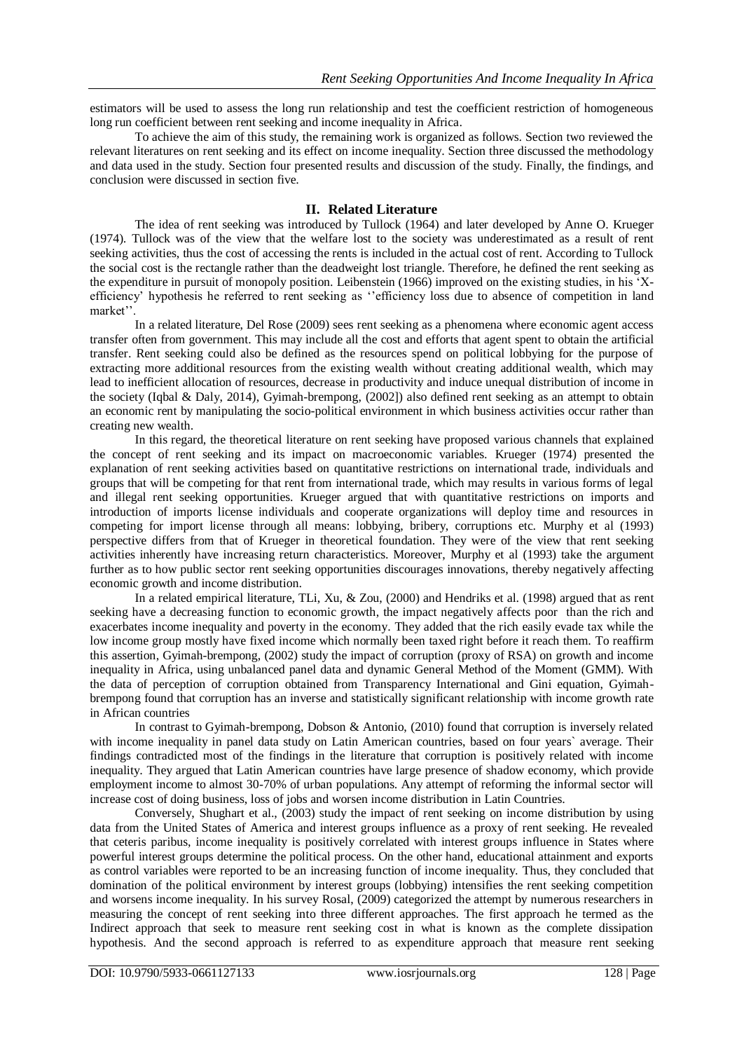estimators will be used to assess the long run relationship and test the coefficient restriction of homogeneous long run coefficient between rent seeking and income inequality in Africa.

To achieve the aim of this study, the remaining work is organized as follows. Section two reviewed the relevant literatures on rent seeking and its effect on income inequality. Section three discussed the methodology and data used in the study. Section four presented results and discussion of the study. Finally, the findings, and conclusion were discussed in section five.

### **II. Related Literature**

The idea of rent seeking was introduced by Tullock (1964) and later developed by Anne O. Krueger (1974). Tullock was of the view that the welfare lost to the society was underestimated as a result of rent seeking activities, thus the cost of accessing the rents is included in the actual cost of rent. According to Tullock the social cost is the rectangle rather than the deadweight lost triangle. Therefore, he defined the rent seeking as the expenditure in pursuit of monopoly position. Leibenstein (1966) improved on the existing studies, in his 'Xefficiency' hypothesis he referred to rent seeking as ''efficiency loss due to absence of competition in land market''.

In a related literature, Del Rose (2009) sees rent seeking as a phenomena where economic agent access transfer often from government. This may include all the cost and efforts that agent spent to obtain the artificial transfer. Rent seeking could also be defined as the resources spend on political lobbying for the purpose of extracting more additional resources from the existing wealth without creating additional wealth, which may lead to inefficient allocation of resources, decrease in productivity and induce unequal distribution of income in the society (Iqbal & Daly, 2014), Gyimah-brempong, (2002]) also defined rent seeking as an attempt to obtain an economic rent by manipulating the socio-political environment in which business activities occur rather than creating new wealth.

In this regard, the theoretical literature on rent seeking have proposed various channels that explained the concept of rent seeking and its impact on macroeconomic variables. Krueger (1974) presented the explanation of rent seeking activities based on quantitative restrictions on international trade, individuals and groups that will be competing for that rent from international trade, which may results in various forms of legal and illegal rent seeking opportunities. Krueger argued that with quantitative restrictions on imports and introduction of imports license individuals and cooperate organizations will deploy time and resources in competing for import license through all means: lobbying, bribery, corruptions etc. Murphy et al (1993) perspective differs from that of Krueger in theoretical foundation. They were of the view that rent seeking activities inherently have increasing return characteristics. Moreover, Murphy et al (1993) take the argument further as to how public sector rent seeking opportunities discourages innovations, thereby negatively affecting economic growth and income distribution.

In a related empirical literature, TLi, Xu, & Zou, (2000) and Hendriks et al. (1998) argued that as rent seeking have a decreasing function to economic growth, the impact negatively affects poor than the rich and exacerbates income inequality and poverty in the economy. They added that the rich easily evade tax while the low income group mostly have fixed income which normally been taxed right before it reach them. To reaffirm this assertion, Gyimah-brempong, (2002) study the impact of corruption (proxy of RSA) on growth and income inequality in Africa, using unbalanced panel data and dynamic General Method of the Moment (GMM). With the data of perception of corruption obtained from Transparency International and Gini equation, Gyimahbrempong found that corruption has an inverse and statistically significant relationship with income growth rate in African countries

In contrast to Gyimah-brempong, Dobson & Antonio, (2010) found that corruption is inversely related with income inequality in panel data study on Latin American countries, based on four years` average. Their findings contradicted most of the findings in the literature that corruption is positively related with income inequality. They argued that Latin American countries have large presence of shadow economy, which provide employment income to almost 30-70% of urban populations. Any attempt of reforming the informal sector will increase cost of doing business, loss of jobs and worsen income distribution in Latin Countries.

Conversely, Shughart et al., (2003) study the impact of rent seeking on income distribution by using data from the United States of America and interest groups influence as a proxy of rent seeking. He revealed that ceteris paribus, income inequality is positively correlated with interest groups influence in States where powerful interest groups determine the political process. On the other hand, educational attainment and exports as control variables were reported to be an increasing function of income inequality. Thus, they concluded that domination of the political environment by interest groups (lobbying) intensifies the rent seeking competition and worsens income inequality. In his survey Rosal, (2009) categorized the attempt by numerous researchers in measuring the concept of rent seeking into three different approaches. The first approach he termed as the Indirect approach that seek to measure rent seeking cost in what is known as the complete dissipation hypothesis. And the second approach is referred to as expenditure approach that measure rent seeking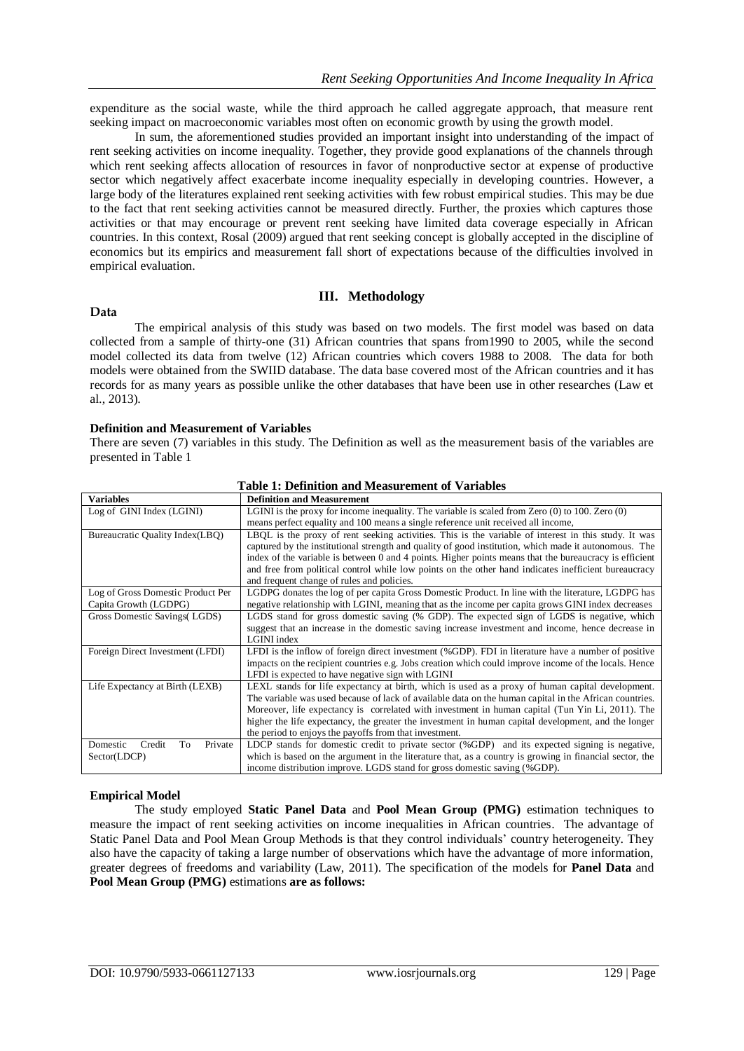expenditure as the social waste, while the third approach he called aggregate approach, that measure rent seeking impact on macroeconomic variables most often on economic growth by using the growth model.

In sum, the aforementioned studies provided an important insight into understanding of the impact of rent seeking activities on income inequality. Together, they provide good explanations of the channels through which rent seeking affects allocation of resources in favor of nonproductive sector at expense of productive sector which negatively affect exacerbate income inequality especially in developing countries. However, a large body of the literatures explained rent seeking activities with few robust empirical studies. This may be due to the fact that rent seeking activities cannot be measured directly. Further, the proxies which captures those activities or that may encourage or prevent rent seeking have limited data coverage especially in African countries. In this context, Rosal (2009) argued that rent seeking concept is globally accepted in the discipline of economics but its empirics and measurement fall short of expectations because of the difficulties involved in empirical evaluation.

### **Data**

### **III. Methodology**

The empirical analysis of this study was based on two models. The first model was based on data collected from a sample of thirty-one (31) African countries that spans from1990 to 2005, while the second model collected its data from twelve (12) African countries which covers 1988 to 2008. The data for both models were obtained from the SWIID database. The data base covered most of the African countries and it has records for as many years as possible unlike the other databases that have been use in other researches (Law et al., 2013).

### **Definition and Measurement of Variables**

There are seven (7) variables in this study. The Definition as well as the measurement basis of the variables are presented in Table 1

| <b>Variables</b>                    | <b>Definition and Measurement</b>                                                                       |
|-------------------------------------|---------------------------------------------------------------------------------------------------------|
| Log of GINI Index (LGINI)           | LGINI is the proxy for income inequality. The variable is scaled from Zero $(0)$ to 100. Zero $(0)$     |
|                                     | means perfect equality and 100 means a single reference unit received all income,                       |
| Bureaucratic Quality Index(LBQ)     | LBQL is the proxy of rent seeking activities. This is the variable of interest in this study. It was    |
|                                     | captured by the institutional strength and quality of good institution, which made it autonomous. The   |
|                                     | index of the variable is between 0 and 4 points. Higher points means that the bureaucracy is efficient  |
|                                     | and free from political control while low points on the other hand indicates inefficient bureaucracy    |
|                                     | and frequent change of rules and policies.                                                              |
| Log of Gross Domestic Product Per   | LGDPG donates the log of per capita Gross Domestic Product. In line with the literature, LGDPG has      |
| Capita Growth (LGDPG)               | negative relationship with LGINI, meaning that as the income per capita grows GINI index decreases      |
| Gross Domestic Savings (LGDS)       | LGDS stand for gross domestic saving (% GDP). The expected sign of LGDS is negative, which              |
|                                     | suggest that an increase in the domestic saving increase investment and income, hence decrease in       |
|                                     | LGINI index                                                                                             |
| Foreign Direct Investment (LFDI)    | LFDI is the inflow of foreign direct investment (%GDP). FDI in literature have a number of positive     |
|                                     | impacts on the recipient countries e.g. Jobs creation which could improve income of the locals. Hence   |
|                                     | LFDI is expected to have negative sign with LGINI                                                       |
| Life Expectancy at Birth (LEXB)     | LEXL stands for life expectancy at birth, which is used as a proxy of human capital development.        |
|                                     | The variable was used because of lack of available data on the human capital in the African countries.  |
|                                     | Moreover, life expectancy is correlated with investment in human capital (Tun Yin Li, 2011). The        |
|                                     | higher the life expectancy, the greater the investment in human capital development, and the longer     |
|                                     | the period to enjoys the payoffs from that investment.                                                  |
| Domestic<br>Credit<br>Private<br>To | LDCP stands for domestic credit to private sector (%GDP) and its expected signing is negative,          |
| Sector(LDCP)                        | which is based on the argument in the literature that, as a country is growing in financial sector, the |
|                                     | income distribution improve. LGDS stand for gross domestic saving (%GDP).                               |

## **Table 1: Definition and Measurement of Variables**

### **Empirical Model**

The study employed **Static Panel Data** and **Pool Mean Group (PMG)** estimation techniques to measure the impact of rent seeking activities on income inequalities in African countries. The advantage of Static Panel Data and Pool Mean Group Methods is that they control individuals' country heterogeneity. They also have the capacity of taking a large number of observations which have the advantage of more information, greater degrees of freedoms and variability (Law, 2011). The specification of the models for **Panel Data** and **Pool Mean Group (PMG)** estimations **are as follows:**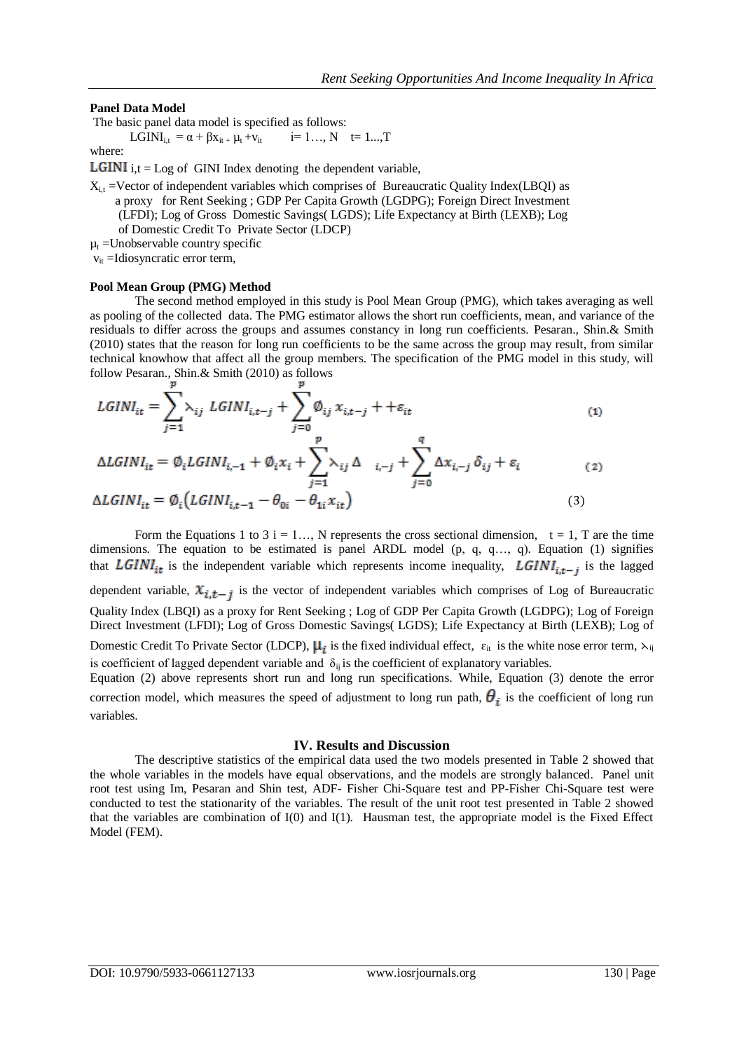### **Panel Data Model**

The basic panel data model is specified as follows:

LGINI<sub>i,t</sub> =  $\alpha$  +  $\beta$ x<sub>it +</sub>  $\mu$ <sub>t</sub> + v<sub>it</sub> i= 1..., N t= 1..., T

# where:

**LGINI** i,t = Log of GINI Index denoting the dependent variable,

 $X_{i,t}$  =Vector of independent variables which comprises of Bureaucratic Quality Index(LBOI) as a proxy for Rent Seeking ; GDP Per Capita Growth (LGDPG); Foreign Direct Investment (LFDI); Log of Gross Domestic Savings( LGDS); Life Expectancy at Birth (LEXB); Log

of Domestic Credit To Private Sector (LDCP)

 $\mu_t$  =Unobservable country specific

 $v_{it}$  =Idiosyncratic error term,

#### **Pool Mean Group (PMG) Method**

The second method employed in this study is Pool Mean Group (PMG), which takes averaging as well as pooling of the collected data. The PMG estimator allows the short run coefficients, mean, and variance of the residuals to differ across the groups and assumes constancy in long run coefficients. Pesaran., Shin.& Smith (2010) states that the reason for long run coefficients to be the same across the group may result, from similar technical knowhow that affect all the group members. The specification of the PMG model in this study, will follow Pesaran., Shin.& Smith (2010) as follows

$$
LGINI_{it} = \sum_{j=1}^{1} \lambda_{ij} LGINI_{i,t-j} + \sum_{j=0}^{1} \emptyset_{ij} x_{i,t-j} + +\varepsilon_{it}
$$
\n(1)

$$
\Delta L GINI_{it} = \emptyset_i LGINI_{i,-1} + \emptyset_i x_i + \sum_{j=1}^P \lambda_{ij} \Delta_{i,-j} + \sum_{j=0}^q \Delta x_{i,-j} \delta_{ij} + \varepsilon_i
$$
\n(2)

$$
\Delta LGINI_{it} = \emptyset_i \left( LGINI_{i,t-1} - \theta_{0i} - \theta_{1i} x_{it} \right) \tag{3}
$$

Form the Equations 1 to 3 i = 1..., N represents the cross sectional dimension,  $t = 1$ , T are the time dimensions. The equation to be estimated is panel ARDL model (p, q, q…, q). Equation (1) signifies that LGINI<sub>it</sub> is the independent variable which represents income inequality, LGINI<sub>it-i</sub> is the lagged dependent variable,  $x_{i,t-j}$  is the vector of independent variables which comprises of Log of Bureaucratic Quality Index (LBQI) as a proxy for Rent Seeking ; Log of GDP Per Capita Growth (LGDPG); Log of Foreign Direct Investment (LFDI); Log of Gross Domestic Savings( LGDS); Life Expectancy at Birth (LEXB); Log of Domestic Credit To Private Sector (LDCP),  $\mu_i$  is the fixed individual effect,  $\varepsilon_{it}$  is the white nose error term,  $\lambda_{ij}$ is coefficient of lagged dependent variable and  $\delta_{ii}$  is the coefficient of explanatory variables.

Equation (2) above represents short run and long run specifications. While, Equation (3) denote the error correction model, which measures the speed of adjustment to long run path,  $\theta_i$  is the coefficient of long run variables.

#### **IV. Results and Discussion**

The descriptive statistics of the empirical data used the two models presented in Table 2 showed that the whole variables in the models have equal observations, and the models are strongly balanced. Panel unit root test using Im, Pesaran and Shin test, ADF- Fisher Chi-Square test and PP-Fisher Chi-Square test were conducted to test the stationarity of the variables. The result of the unit root test presented in Table 2 showed that the variables are combination of  $I(0)$  and  $I(1)$ . Hausman test, the appropriate model is the Fixed Effect Model (FEM).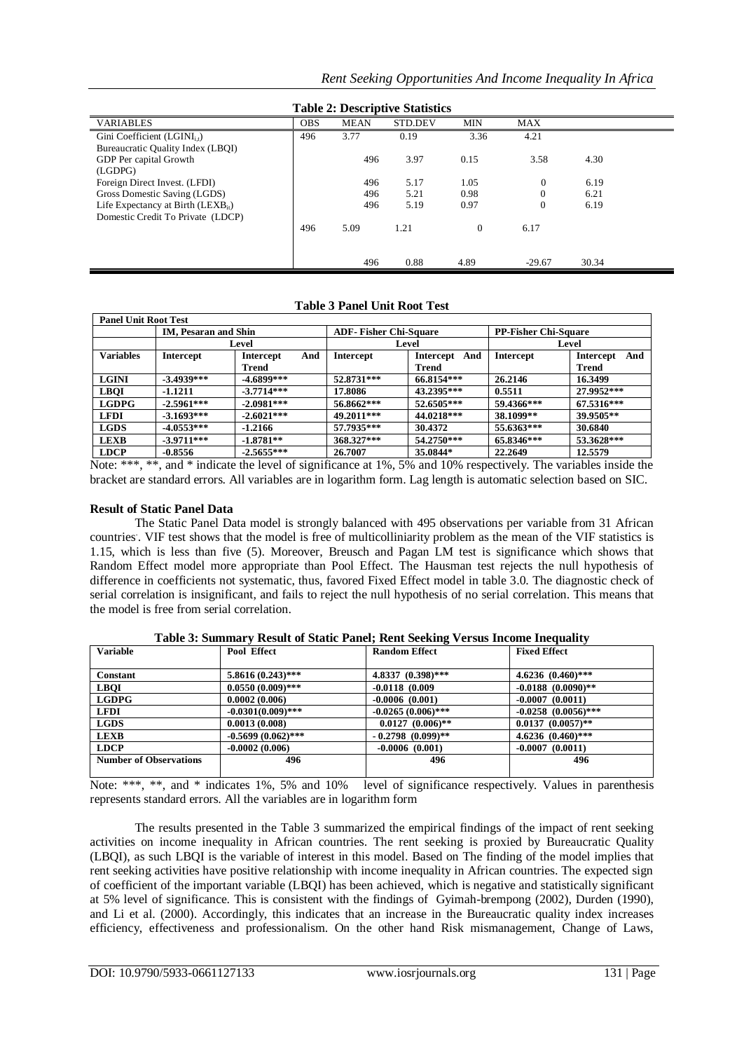| Table 2: Descriptive Statistics        |            |             |         |            |              |       |  |
|----------------------------------------|------------|-------------|---------|------------|--------------|-------|--|
| <b>VARIABLES</b>                       | <b>OBS</b> | <b>MEAN</b> | STD.DEV | <b>MIN</b> | MAX          |       |  |
| Gini Coefficient $(LGINI_{i})$         | 496        | 3.77        | 0.19    | 3.36       | 4.21         |       |  |
| Bureaucratic Quality Index (LBQI)      |            |             |         |            |              |       |  |
| GDP Per capital Growth                 |            | 496         | 3.97    | 0.15       | 3.58         | 4.30  |  |
| (LGDPG)                                |            |             |         |            |              |       |  |
| Foreign Direct Invest. (LFDI)          |            | 496         | 5.17    | 1.05       | $\mathbf{0}$ | 6.19  |  |
| Gross Domestic Saving (LGDS)           |            | 496         | 5.21    | 0.98       | $\mathbf{0}$ | 6.21  |  |
| Life Expectancy at Birth $(LEXB_{it})$ |            | 496         | 5.19    | 0.97       | $\mathbf{0}$ | 6.19  |  |
| Domestic Credit To Private (LDCP)      |            |             |         |            |              |       |  |
|                                        | 496        | 5.09        | 1.21    | $\Omega$   | 6.17         |       |  |
|                                        |            |             |         |            |              |       |  |
|                                        |            |             |         |            |              |       |  |
|                                        |            | 496         | 0.88    | 4.89       | $-29.67$     | 30.34 |  |

**Table 2: Descriptive Statistics**

| <b>Panel Unit Root Test</b> |                      |                  |            |                              |                             |                         |
|-----------------------------|----------------------|------------------|------------|------------------------------|-----------------------------|-------------------------|
|                             | IM, Pesaran and Shin |                  |            | <b>ADF-Fisher Chi-Square</b> | <b>PP-Fisher Chi-Square</b> |                         |
|                             | Level                |                  |            | Level                        | Level                       |                         |
| <b>Variables</b>            | <b>Intercept</b>     | And<br>Intercept | Intercept  | <b>Intercept</b><br>And      | <b>Intercept</b>            | And<br><b>Intercept</b> |
|                             |                      | Trend            |            | Trend                        |                             | Trend                   |
| <b>LGINI</b>                | $-3.4939***$         | $-4.6899***$     | 52.8731*** | 66.8154***                   | 26.2146                     | 16.3499                 |
| <b>LBOI</b>                 | $-1.1211$            | $-3.7714***$     | 17.8086    | 43.2395***                   | 0.5511                      | 27.9952***              |
| <b>LGDPG</b>                | $-2.5961***$         | $-2.0981***$     | 56.8662*** | 52.6505***                   | 59.4366***                  | 67.5316***              |
| <b>LFDI</b>                 | $-3.1693***$         | $-2.6021***$     | 49.2011*** | 44.0218***                   | 38.1099**                   | 39.9505**               |
| <b>LGDS</b>                 | $-4.0553***$         | $-1.2166$        | 57.7935*** | 30.4372                      | 55.6363***                  | 30.6840                 |
| <b>LEXB</b>                 | $-3.9711***$         | $-1.8781**$      | 368.327*** | 54.2750***                   | 65.8346***                  | 53.3628***              |
| <b>LDCP</b>                 | $-0.8556$            | $-2.5655***$     | 26.7007    | 35.0844*                     | 22.2649                     | 12.5579                 |

### **Table 3 Panel Unit Root Test**

Note: \*\*\*, \*\*, and \* indicate the level of significance at 1%, 5% and 10% respectively. The variables inside the bracket are standard errors. All variables are in logarithm form. Lag length is automatic selection based on SIC.

### **Result of Static Panel Data**

The Static Panel Data model is strongly balanced with 495 observations per variable from 31 African countries. . VIF test shows that the model is free of multicolliniarity problem as the mean of the VIF statistics is 1.15, which is less than five (5). Moreover, Breusch and Pagan LM test is significance which shows that Random Effect model more appropriate than Pool Effect. The Hausman test rejects the null hypothesis of difference in coefficients not systematic, thus, favored Fixed Effect model in table 3.0. The diagnostic check of serial correlation is insignificant, and fails to reject the null hypothesis of no serial correlation. This means that the model is free from serial correlation.

| Table 3: Summary Result of Static Panel; Rent Seeking Versus Income Inequality |                      |                        |                          |  |
|--------------------------------------------------------------------------------|----------------------|------------------------|--------------------------|--|
| <b>Variable</b>                                                                | <b>Pool Effect</b>   | <b>Random Effect</b>   | <b>Fixed Effect</b>      |  |
|                                                                                |                      |                        |                          |  |
| <b>Constant</b>                                                                | $5.8616(0.243)$ ***  | 4.8337 $(0.398)$ ***   | 4.6236 $(0.460)$ ***     |  |
| <b>LBOI</b>                                                                    | $0.0550(0.009)$ ***  | $-0.0118$ (0.009)      | $-0.0188$ $(0.0090)$ **  |  |
| <b>LGDPG</b>                                                                   | 0.0002(0.006)        | $-0.0006(0.001)$       | $-0.0007(0.0011)$        |  |
| <b>LFDI</b>                                                                    | $-0.0301(0.009)$ *** | $-0.0265(0.006)$ ***   | $-0.0258$ $(0.0056)$ *** |  |
| <b>LGDS</b>                                                                    | 0.0013(0.008)        | $0.0127(0.006)$ **     | $0.0137(0.0057)$ **      |  |
| <b>LEXB</b>                                                                    | $-0.5699(0.062)$ *** | $-0.2798$ $(0.099)$ ** | $4.6236 (0.460)$ ***     |  |
| <b>LDCP</b>                                                                    | $-0.0002(0.006)$     | $-0.0006(0.001)$       | $-0.0007(0.0011)$        |  |
| <b>Number of Observations</b>                                                  | 496                  | 496                    | 496                      |  |
|                                                                                |                      |                        |                          |  |

# **Table 3: Summary Result of Static Panel; Rent Seeking Versus Income Inequality**

Note: \*\*\*, \*\*, and \* indicates 1%, 5% and 10% level of significance respectively. Values in parenthesis represents standard errors. All the variables are in logarithm form

The results presented in the Table 3 summarized the empirical findings of the impact of rent seeking activities on income inequality in African countries. The rent seeking is proxied by Bureaucratic Quality (LBQI), as such LBQI is the variable of interest in this model. Based on The finding of the model implies that rent seeking activities have positive relationship with income inequality in African countries. The expected sign of coefficient of the important variable (LBQI) has been achieved, which is negative and statistically significant at 5% level of significance. This is consistent with the findings of Gyimah-brempong (2002), Durden (1990), and Li et al. (2000). Accordingly, this indicates that an increase in the Bureaucratic quality index increases efficiency, effectiveness and professionalism. On the other hand Risk mismanagement, Change of Laws,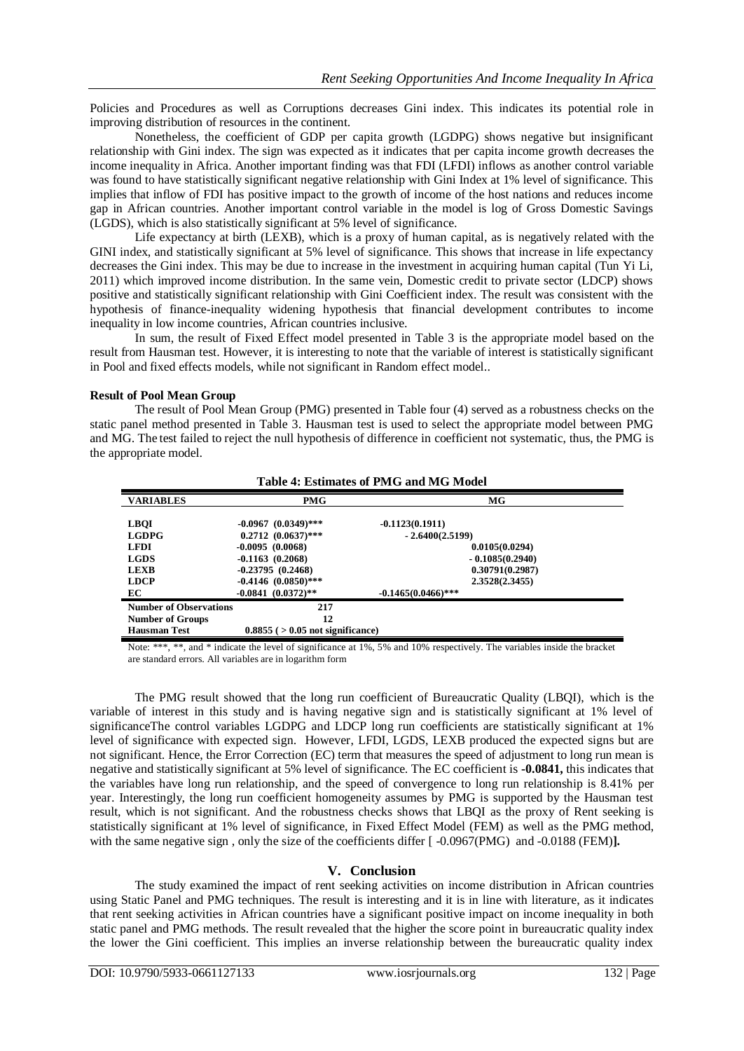Policies and Procedures as well as Corruptions decreases Gini index. This indicates its potential role in improving distribution of resources in the continent.

Nonetheless, the coefficient of GDP per capita growth (LGDPG) shows negative but insignificant relationship with Gini index. The sign was expected as it indicates that per capita income growth decreases the income inequality in Africa. Another important finding was that FDI (LFDI) inflows as another control variable was found to have statistically significant negative relationship with Gini Index at 1% level of significance. This implies that inflow of FDI has positive impact to the growth of income of the host nations and reduces income gap in African countries. Another important control variable in the model is log of Gross Domestic Savings (LGDS), which is also statistically significant at 5% level of significance.

Life expectancy at birth (LEXB), which is a proxy of human capital, as is negatively related with the GINI index, and statistically significant at 5% level of significance. This shows that increase in life expectancy decreases the Gini index. This may be due to increase in the investment in acquiring human capital (Tun Yi Li, 2011) which improved income distribution. In the same vein, Domestic credit to private sector (LDCP) shows positive and statistically significant relationship with Gini Coefficient index. The result was consistent with the hypothesis of finance-inequality widening hypothesis that financial development contributes to income inequality in low income countries, African countries inclusive.

In sum, the result of Fixed Effect model presented in Table 3 is the appropriate model based on the result from Hausman test. However, it is interesting to note that the variable of interest is statistically significant in Pool and fixed effects models, while not significant in Random effect model..

### **Result of Pool Mean Group**

The result of Pool Mean Group (PMG) presented in Table four (4) served as a robustness checks on the static panel method presented in Table 3. Hausman test is used to select the appropriate model between PMG and MG. The test failed to reject the null hypothesis of difference in coefficient not systematic, thus, the PMG is the appropriate model.

| Table 4: Estimates of PMG and MG Model                                                  |                                                                                                                   |                                                                                                                    |  |  |  |
|-----------------------------------------------------------------------------------------|-------------------------------------------------------------------------------------------------------------------|--------------------------------------------------------------------------------------------------------------------|--|--|--|
| <b>VARIABLES</b>                                                                        | <b>PMG</b>                                                                                                        | MG                                                                                                                 |  |  |  |
| <b>LBOI</b><br><b>LGDPG</b><br><b>LFDI</b><br><b>LGDS</b><br><b>LEXB</b><br><b>LDCP</b> | $-0.0967$ $(0.0349)$ ***<br>$0.2712 (0.0637)$ ***<br>$-0.0095(0.0068)$<br>$-0.1163(0.2068)$<br>$-0.23795(0.2468)$ | $-0.1123(0.1911)$<br>$-2.6400(2.5199)$<br>0.0105(0.0294)<br>$-0.1085(0.2940)$<br>0.30791(0.2987)<br>2.3528(2.3455) |  |  |  |
| EC                                                                                      | $-0.4146$ $(0.0850)$ ***<br>$-0.0841(0.0372)$ **                                                                  | $-0.1465(0.0466)$ ***                                                                                              |  |  |  |
| <b>Number of Observations</b>                                                           | 217                                                                                                               |                                                                                                                    |  |  |  |
| <b>Number of Groups</b>                                                                 | 12                                                                                                                |                                                                                                                    |  |  |  |
| <b>Hausman Test</b>                                                                     | $0.8855$ ( $>0.05$ not significance)                                                                              |                                                                                                                    |  |  |  |

Note: \*\*\*, \*\*, and \* indicate the level of significance at 1%, 5% and 10% respectively. The variables inside the bracket are standard errors. All variables are in logarithm form

The PMG result showed that the long run coefficient of Bureaucratic Quality (LBQI), which is the variable of interest in this study and is having negative sign and is statistically significant at 1% level of significanceThe control variables LGDPG and LDCP long run coefficients are statistically significant at 1% level of significance with expected sign. However, LFDI, LGDS, LEXB produced the expected signs but are not significant. Hence, the Error Correction (EC) term that measures the speed of adjustment to long run mean is negative and statistically significant at 5% level of significance. The EC coefficient is **-0.0841,** this indicates that the variables have long run relationship, and the speed of convergence to long run relationship is 8.41% per year. Interestingly, the long run coefficient homogeneity assumes by PMG is supported by the Hausman test result, which is not significant. And the robustness checks shows that LBQI as the proxy of Rent seeking is statistically significant at 1% level of significance, in Fixed Effect Model (FEM) as well as the PMG method, with the same negative sign, only the size of the coefficients differ  $\lceil -0.0967(PMG) \rceil$  and  $-0.0188$  (FEM)**].** 

### **V. Conclusion**

The study examined the impact of rent seeking activities on income distribution in African countries using Static Panel and PMG techniques. The result is interesting and it is in line with literature, as it indicates that rent seeking activities in African countries have a significant positive impact on income inequality in both static panel and PMG methods. The result revealed that the higher the score point in bureaucratic quality index the lower the Gini coefficient. This implies an inverse relationship between the bureaucratic quality index